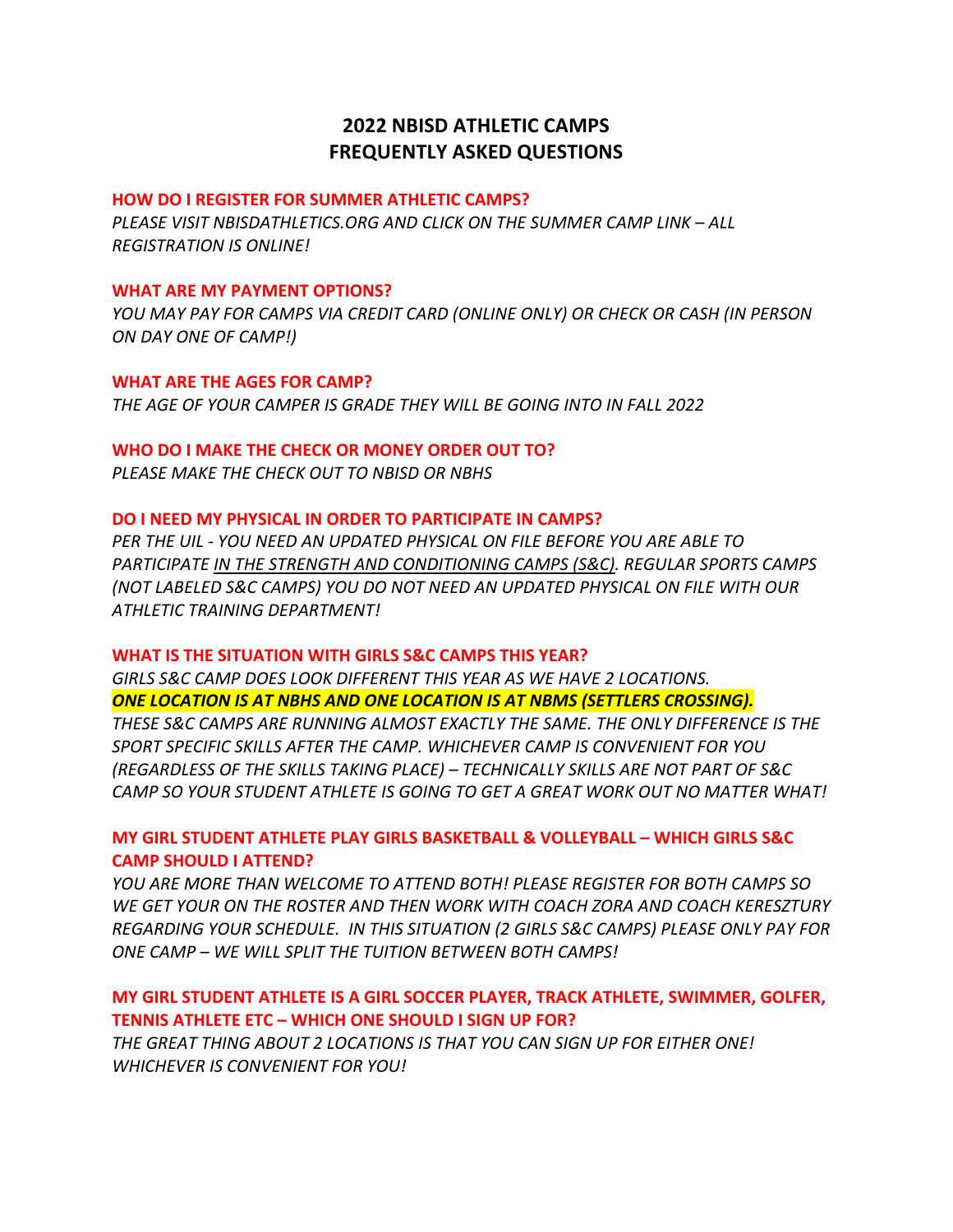# **2022 NBISD ATHLETIC CAMPS FREQUENTLY ASKED QUESTIONS**

### **HOW DO I REGISTER FOR SUMMER ATHLETIC CAMPS?**

*PLEASE VISIT NBISDATHLETICS.ORG AND CLICK ON THE SUMMER CAMP LINK – ALL REGISTRATION IS ONLINE!* 

#### **WHAT ARE MY PAYMENT OPTIONS?**

*YOU MAY PAY FOR CAMPS VIA CREDIT CARD (ONLINE ONLY) OR CHECK OR CASH (IN PERSON ON DAY ONE OF CAMP!)* 

**WHAT ARE THE AGES FOR CAMP?** *THE AGE OF YOUR CAMPER IS GRADE THEY WILL BE GOING INTO IN FALL 2022*

### **WHO DO I MAKE THE CHECK OR MONEY ORDER OUT TO?**

*PLEASE MAKE THE CHECK OUT TO NBISD OR NBHS* 

#### **DO I NEED MY PHYSICAL IN ORDER TO PARTICIPATE IN CAMPS?**

*PER THE UIL - YOU NEED AN UPDATED PHYSICAL ON FILE BEFORE YOU ARE ABLE TO PARTICIPATE IN THE STRENGTH AND CONDITIONING CAMPS (S&C). REGULAR SPORTS CAMPS (NOT LABELED S&C CAMPS) YOU DO NOT NEED AN UPDATED PHYSICAL ON FILE WITH OUR ATHLETIC TRAINING DEPARTMENT!* 

### **WHAT IS THE SITUATION WITH GIRLS S&C CAMPS THIS YEAR?**

*GIRLS S&C CAMP DOES LOOK DIFFERENT THIS YEAR AS WE HAVE 2 LOCATIONS. ONE LOCATION IS AT NBHS AND ONE LOCATION IS AT NBMS (SETTLERS CROSSING).*

*THESE S&C CAMPS ARE RUNNING ALMOST EXACTLY THE SAME. THE ONLY DIFFERENCE IS THE SPORT SPECIFIC SKILLS AFTER THE CAMP. WHICHEVER CAMP IS CONVENIENT FOR YOU (REGARDLESS OF THE SKILLS TAKING PLACE) – TECHNICALLY SKILLS ARE NOT PART OF S&C CAMP SO YOUR STUDENT ATHLETE IS GOING TO GET A GREAT WORK OUT NO MATTER WHAT!* 

## **MY GIRL STUDENT ATHLETE PLAY GIRLS BASKETBALL & VOLLEYBALL – WHICH GIRLS S&C CAMP SHOULD I ATTEND?**

*YOU ARE MORE THAN WELCOME TO ATTEND BOTH! PLEASE REGISTER FOR BOTH CAMPS SO WE GET YOUR ON THE ROSTER AND THEN WORK WITH COACH ZORA AND COACH KERESZTURY REGARDING YOUR SCHEDULE. IN THIS SITUATION (2 GIRLS S&C CAMPS) PLEASE ONLY PAY FOR ONE CAMP – WE WILL SPLIT THE TUITION BETWEEN BOTH CAMPS!* 

## **MY GIRL STUDENT ATHLETE IS A GIRL SOCCER PLAYER, TRACK ATHLETE, SWIMMER, GOLFER, TENNIS ATHLETE ETC – WHICH ONE SHOULD I SIGN UP FOR?**

*THE GREAT THING ABOUT 2 LOCATIONS IS THAT YOU CAN SIGN UP FOR EITHER ONE! WHICHEVER IS CONVENIENT FOR YOU!*